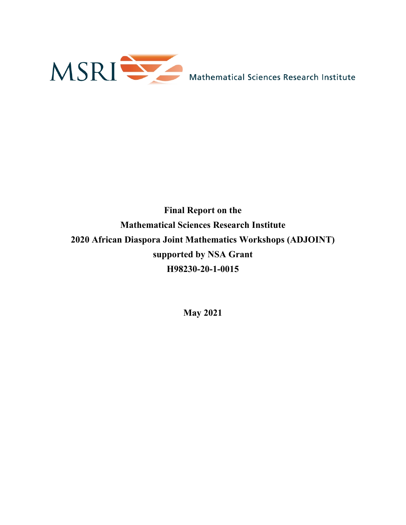

# **Final Report on the Mathematical Sciences Research Institute 2020 African Diaspora Joint Mathematics Workshops (ADJOINT) supported by NSA Grant H98230-20-1-0015**

**May 2021**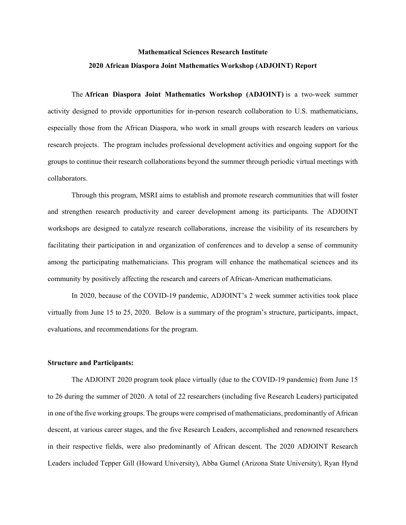# **Mathematical Sciences Research Institute 2020 African Diaspora Joint Mathematics Workshop (ADJOINT) Report**

The **African Diaspora Joint Mathematics Workshop (ADJOINT)** is a two-week summer activity designed to provide opportunities for in-person research collaboration to U.S. mathematicians, especially those from the African Diaspora, who work in small groups with research leaders on various research projects. The program includes professional development activities and ongoing support for the groups to continue their research collaborations beyond the summer through periodic virtual meetings with collaborators.

Through this program, MSRI aims to establish and promote research communities that will foster and strengthen research productivity and career development among its participants. The ADJOINT workshops are designed to catalyze research collaborations, increase the visibility of its researchers by facilitating their participation in and organization of conferences and to develop a sense of community among the participating mathematicians. This program will enhance the mathematical sciences and its community by positively affecting the research and careers of African-American mathematicians.

In 2020, because of the COVID-19 pandemic, ADJOINT's 2 week summer activities took place virtually from June 15 to 25, 2020. Below is a summary of the program's structure, participants, impact, evaluations, and recommendations for the program.

#### **Structure and Participants:**

The ADJOINT 2020 program took place virtually (due to the COVID-19 pandemic) from June 15 to 26 during the summer of 2020. A total of 22 researchers (including five Research Leaders) participated in one of the five working groups. The groups were comprised of mathematicians, predominantly of African descent, at various career stages, and the five Research Leaders, accomplished and renowned researchers in their respective fields, were also predominantly of African descent. The 2020 ADJOINT Research Leaders included Tepper Gill (Howard University), Abba Gumel (Arizona State University), Ryan Hynd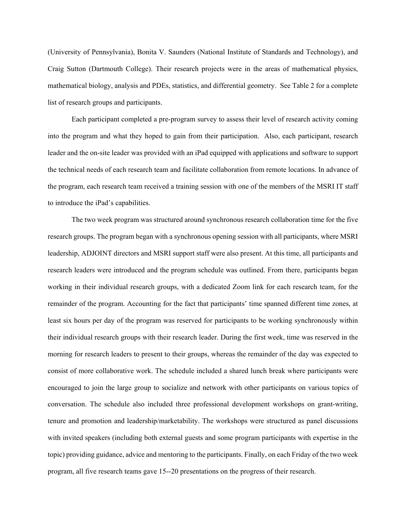(University of Pennsylvania), Bonita V. Saunders (National Institute of Standards and Technology), and Craig Sutton (Dartmouth College). Their research projects were in the areas of mathematical physics, mathematical biology, analysis and PDEs, statistics, and differential geometry. See Table 2 for a complete list of research groups and participants.

Each participant completed a pre-program survey to assess their level of research activity coming into the program and what they hoped to gain from their participation. Also, each participant, research leader and the on-site leader was provided with an iPad equipped with applications and software to support the technical needs of each research team and facilitate collaboration from remote locations. In advance of the program, each research team received a training session with one of the members of the MSRI IT staff to introduce the iPad's capabilities.

The two week program was structured around synchronous research collaboration time for the five research groups. The program began with a synchronous opening session with all participants, where MSRI leadership, ADJOINT directors and MSRI support staff were also present. At this time, all participants and research leaders were introduced and the program schedule was outlined. From there, participants began working in their individual research groups, with a dedicated Zoom link for each research team, for the remainder of the program. Accounting for the fact that participants' time spanned different time zones, at least six hours per day of the program was reserved for participants to be working synchronously within their individual research groups with their research leader. During the first week, time was reserved in the morning for research leaders to present to their groups, whereas the remainder of the day was expected to consist of more collaborative work. The schedule included a shared lunch break where participants were encouraged to join the large group to socialize and network with other participants on various topics of conversation. The schedule also included three professional development workshops on grant-writing, tenure and promotion and leadership/marketability. The workshops were structured as panel discussions with invited speakers (including both external guests and some program participants with expertise in the topic) providing guidance, advice and mentoring to the participants. Finally, on each Friday of the two week program, all five research teams gave 15--20 presentations on the progress of their research.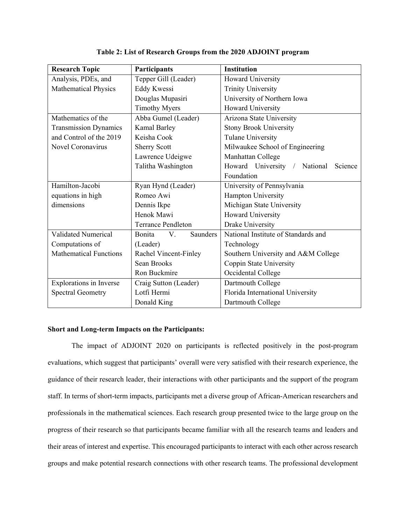| <b>Research Topic</b>          | Participants                    | <b>Institution</b>                         |
|--------------------------------|---------------------------------|--------------------------------------------|
| Analysis, PDEs, and            | Tepper Gill (Leader)            | Howard University                          |
| <b>Mathematical Physics</b>    | Eddy Kwessi                     | <b>Trinity University</b>                  |
|                                | Douglas Mupasiri                | University of Northern Iowa                |
|                                | <b>Timothy Myers</b>            | Howard University                          |
| Mathematics of the             | Abba Gumel (Leader)             | Arizona State University                   |
| <b>Transmission Dynamics</b>   | Kamal Barley                    | <b>Stony Brook University</b>              |
| and Control of the 2019        | Keisha Cook                     | <b>Tulane University</b>                   |
| Novel Coronavirus              | <b>Sherry Scott</b>             | Milwaukee School of Engineering            |
|                                | Lawrence Udeigwe                | Manhattan College                          |
|                                | Talitha Washington              | Howard University /<br>National<br>Science |
|                                |                                 | Foundation                                 |
| Hamilton-Jacobi                | Ryan Hynd (Leader)              | University of Pennsylvania                 |
| equations in high              | Romeo Awi                       | Hampton University                         |
| dimensions                     | Dennis Ikpe                     | Michigan State University                  |
|                                | Henok Mawi                      | Howard University                          |
|                                | <b>Terrance Pendleton</b>       | Drake University                           |
| <b>Validated Numerical</b>     | Bonita<br>V.<br><b>Saunders</b> | National Institute of Standards and        |
| Computations of                | (Leader)                        | Technology                                 |
| <b>Mathematical Functions</b>  | Rachel Vincent-Finley           | Southern University and A&M College        |
|                                | Sean Brooks                     | Coppin State University                    |
|                                | Ron Buckmire                    | Occidental College                         |
| <b>Explorations in Inverse</b> | Craig Sutton (Leader)           | Dartmouth College                          |
| <b>Spectral Geometry</b>       | Lotfi Hermi                     | Florida International University           |
|                                | Donald King                     | Dartmouth College                          |

**Table 2: List of Research Groups from the 2020 ADJOINT program**

#### **Short and Long-term Impacts on the Participants:**

The impact of ADJOINT 2020 on participants is reflected positively in the post-program evaluations, which suggest that participants' overall were very satisfied with their research experience, the guidance of their research leader, their interactions with other participants and the support of the program staff. In terms of short-term impacts, participants met a diverse group of African-American researchers and professionals in the mathematical sciences. Each research group presented twice to the large group on the progress of their research so that participants became familiar with all the research teams and leaders and their areas of interest and expertise. This encouraged participants to interact with each other across research groups and make potential research connections with other research teams. The professional development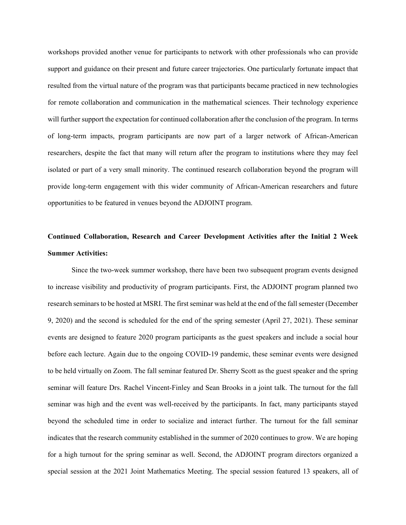workshops provided another venue for participants to network with other professionals who can provide support and guidance on their present and future career trajectories. One particularly fortunate impact that resulted from the virtual nature of the program was that participants became practiced in new technologies for remote collaboration and communication in the mathematical sciences. Their technology experience will further support the expectation for continued collaboration after the conclusion of the program. In terms of long-term impacts, program participants are now part of a larger network of African-American researchers, despite the fact that many will return after the program to institutions where they may feel isolated or part of a very small minority. The continued research collaboration beyond the program will provide long-term engagement with this wider community of African-American researchers and future opportunities to be featured in venues beyond the ADJOINT program.

# **Continued Collaboration, Research and Career Development Activities after the Initial 2 Week Summer Activities:**

Since the two-week summer workshop, there have been two subsequent program events designed to increase visibility and productivity of program participants. First, the ADJOINT program planned two research seminars to be hosted at MSRI. The first seminar was held at the end of the fall semester [\(December](https://www.msri.org/seminars/25508)  [9, 2020\)](https://www.msri.org/seminars/25508) and the second is scheduled for the end of the spring semester [\(April 27, 2021\)](https://www.msri.org/seminars/25966). These seminar events are designed to feature 2020 program participants as the guest speakers and include a social hour before each lecture. Again due to the ongoing COVID-19 pandemic, these seminar events were designed to be held virtually on Zoom. The fall seminar featured Dr. Sherry Scott as the guest speaker and the spring seminar will feature Drs. Rachel Vincent-Finley and Sean Brooks in a joint talk. The turnout for the fall seminar was high and the event was well-received by the participants. In fact, many participants stayed beyond the scheduled time in order to socialize and interact further. The turnout for the fall seminar indicates that the research community established in the summer of 2020 continues to grow. We are hoping for a high turnout for the spring seminar as well. Second, the ADJOINT program directors organized a special session at the 2021 Joint Mathematics Meeting. The special session featured 13 speakers, all of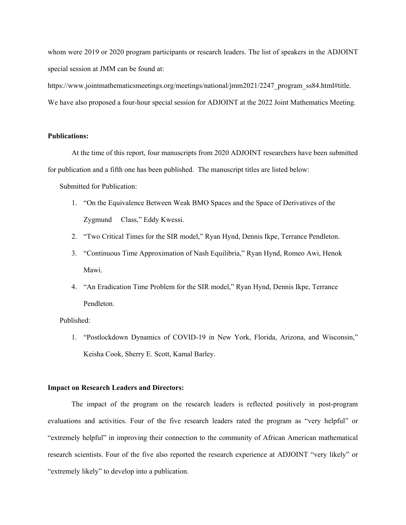whom were 2019 or 2020 program participants or research leaders. The list of speakers in the ADJOINT special session at JMM can be found at:

https://www.jointmathematicsmeetings.org/meetings/national/jmm2021/2247 program ss84.html#title. We have also proposed a four-hour special session for ADJOINT at the 2022 Joint Mathematics Meeting.

#### **Publications:**

At the time of this report, four manuscripts from 2020 ADJOINT researchers have been submitted for publication and a fifth one has been published. The manuscript titles are listed below:

Submitted for Publication:

- 1. "On the Equivalence Between Weak BMO Spaces and the Space of Derivatives of the Zygmund Class," Eddy Kwessi.
- 2. "Two Critical Times for the SIR model," Ryan Hynd, Dennis Ikpe, Terrance Pendleton.
- 3. "Continuous Time Approximation of Nash Equilibria," Ryan Hynd, Romeo Awi, Henok Mawi.
- 4. "An Eradication Time Problem for the SIR model," Ryan Hynd, Dennis Ikpe, Terrance Pendleton.

#### Published:

1. "Postlockdown Dynamics of COVID-19 in New York, Florida, Arizona, and Wisconsin," Keisha Cook, Sherry E. Scott, Kamal Barley.

#### **Impact on Research Leaders and Directors:**

The impact of the program on the research leaders is reflected positively in post-program evaluations and activities. Four of the five research leaders rated the program as "very helpful" or "extremely helpful" in improving their connection to the community of African American mathematical research scientists. Four of the five also reported the research experience at ADJOINT "very likely" or "extremely likely" to develop into a publication.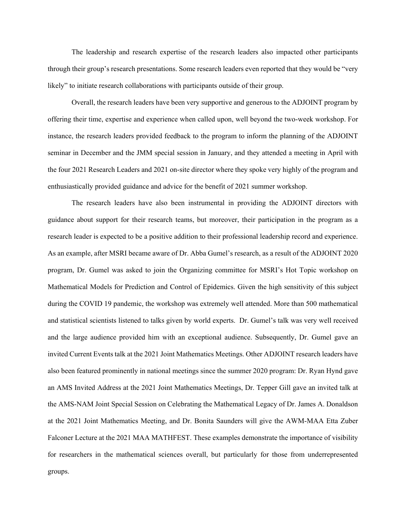The leadership and research expertise of the research leaders also impacted other participants through their group's research presentations. Some research leaders even reported that they would be "very likely" to initiate research collaborations with participants outside of their group.

Overall, the research leaders have been very supportive and generous to the ADJOINT program by offering their time, expertise and experience when called upon, well beyond the two-week workshop. For instance, the research leaders provided feedback to the program to inform the planning of the ADJOINT seminar in December and the JMM special session in January, and they attended a meeting in April with the four 2021 Research Leaders and 2021 on-site director where they spoke very highly of the program and enthusiastically provided guidance and advice for the benefit of 2021 summer workshop.

The research leaders have also been instrumental in providing the ADJOINT directors with guidance about support for their research teams, but moreover, their participation in the program as a research leader is expected to be a positive addition to their professional leadership record and experience. As an example, after MSRI became aware of Dr. Abba Gumel's research, as a result of the ADJOINT 2020 program, Dr. Gumel was asked to join the Organizing committee for MSRI's Hot Topic workshop on Mathematical Models for Prediction and Control of Epidemics. Given the high sensitivity of this subject during the COVID 19 pandemic, the workshop was extremely well attended. More than 500 mathematical and statistical scientists listened to talks given by world experts. Dr. Gumel's talk was very well received and the large audience provided him with an exceptional audience. Subsequently, Dr. Gumel gave an invited Current Events talk at the 2021 Joint Mathematics Meetings. Other ADJOINT research leaders have also been featured prominently in national meetings since the summer 2020 program: Dr. Ryan Hynd gave an AMS Invited Address at the 2021 Joint Mathematics Meetings, Dr. Tepper Gill gave an invited talk at the AMS-NAM Joint Special Session on Celebrating the Mathematical Legacy of Dr. James A. Donaldson at the 2021 Joint Mathematics Meeting, and Dr. Bonita Saunders will give the AWM-MAA Etta Zuber Falconer Lecture at the 2021 MAA MATHFEST. These examples demonstrate the importance of visibility for researchers in the mathematical sciences overall, but particularly for those from underrepresented groups.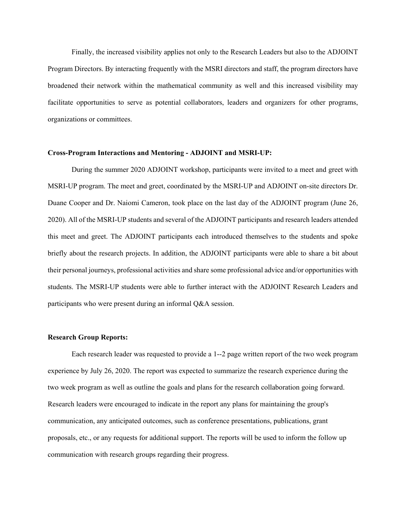Finally, the increased visibility applies not only to the Research Leaders but also to the ADJOINT Program Directors. By interacting frequently with the MSRI directors and staff, the program directors have broadened their network within the mathematical community as well and this increased visibility may facilitate opportunities to serve as potential collaborators, leaders and organizers for other programs, organizations or committees.

#### **Cross-Program Interactions and Mentoring - ADJOINT and MSRI-UP:**

During the summer 2020 ADJOINT workshop, participants were invited to a meet and greet with MSRI-UP program. The meet and greet, coordinated by the MSRI-UP and ADJOINT on-site directors Dr. Duane Cooper and Dr. Naiomi Cameron, took place on the last day of the ADJOINT program (June 26, 2020). All of the MSRI-UP students and several of the ADJOINT participants and research leaders attended this meet and greet. The ADJOINT participants each introduced themselves to the students and spoke briefly about the research projects. In addition, the ADJOINT participants were able to share a bit about their personal journeys, professional activities and share some professional advice and/or opportunities with students. The MSRI-UP students were able to further interact with the ADJOINT Research Leaders and participants who were present during an informal Q&A session.

#### **Research Group Reports:**

Each research leader was requested to provide a 1--2 page written report of the two week program experience by July 26, 2020. The report was expected to summarize the research experience during the two week program as well as outline the goals and plans for the research collaboration going forward. Research leaders were encouraged to indicate in the report any plans for maintaining the group's communication, any anticipated outcomes, such as conference presentations, publications, grant proposals, etc., or any requests for additional support. The reports will be used to inform the follow up communication with research groups regarding their progress.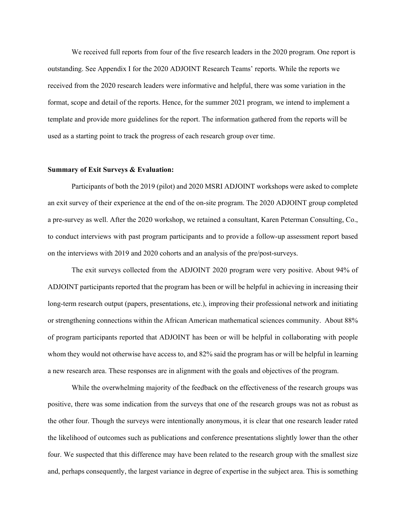We received full reports from four of the five research leaders in the 2020 program. One report is outstanding. See Appendix I for the 2020 ADJOINT Research Teams' reports. While the reports we received from the 2020 research leaders were informative and helpful, there was some variation in the format, scope and detail of the reports. Hence, for the summer 2021 program, we intend to implement a template and provide more guidelines for the report. The information gathered from the reports will be used as a starting point to track the progress of each research group over time.

#### **Summary of Exit Surveys & Evaluation:**

Participants of both the 2019 (pilot) and 2020 MSRI ADJOINT workshops were asked to complete an exit survey of their experience at the end of the on-site program. The 2020 ADJOINT group completed a pre-survey as well. After the 2020 workshop, we retained a consultant, Karen Peterman Consulting, Co., to conduct interviews with past program participants and to provide a follow-up assessment report based on the interviews with 2019 and 2020 cohorts and an analysis of the pre/post-surveys.

The exit surveys collected from the ADJOINT 2020 program were very positive. About 94% of ADJOINT participants reported that the program has been or will be helpful in achieving in increasing their long-term research output (papers, presentations, etc.), improving their professional network and initiating or strengthening connections within the African American mathematical sciences community. About 88% of program participants reported that ADJOINT has been or will be helpful in collaborating with people whom they would not otherwise have access to, and 82% said the program has or will be helpful in learning a new research area. These responses are in alignment with the goals and objectives of the program.

While the overwhelming majority of the feedback on the effectiveness of the research groups was positive, there was some indication from the surveys that one of the research groups was not as robust as the other four. Though the surveys were intentionally anonymous, it is clear that one research leader rated the likelihood of outcomes such as publications and conference presentations slightly lower than the other four. We suspected that this difference may have been related to the research group with the smallest size and, perhaps consequently, the largest variance in degree of expertise in the subject area. This is something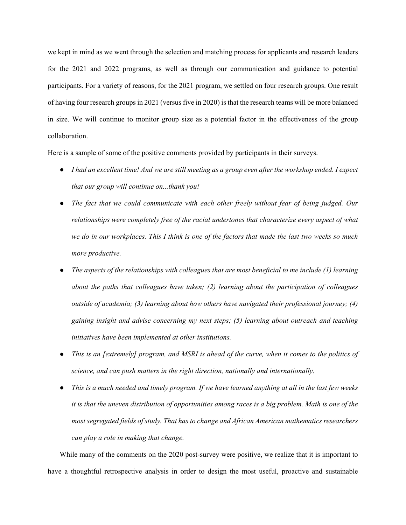we kept in mind as we went through the selection and matching process for applicants and research leaders for the 2021 and 2022 programs, as well as through our communication and guidance to potential participants. For a variety of reasons, for the 2021 program, we settled on four research groups. One result of having four research groups in 2021 (versus five in 2020) is that the research teams will be more balanced in size. We will continue to monitor group size as a potential factor in the effectiveness of the group collaboration.

Here is a sample of some of the positive comments provided by participants in their surveys.

- *I had an excellent time! And we are still meeting as a group even after the workshop ended. I expect that our group will continue on...thank you!*
- *The fact that we could communicate with each other freely without fear of being judged. Our relationships were completely free of the racial undertones that characterize every aspect of what we do in our workplaces. This I think is one of the factors that made the last two weeks so much more productive.*
- *The aspects of the relationships with colleagues that are most beneficial to me include (1) learning about the paths that colleagues have taken; (2) learning about the participation of colleagues outside of academia; (3) learning about how others have navigated their professional journey; (4) gaining insight and advise concerning my next steps; (5) learning about outreach and teaching initiatives have been implemented at other institutions.*
- *This is an [extremely] program, and MSRI is ahead of the curve, when it comes to the politics of science, and can push matters in the right direction, nationally and internationally.*
- *This is a much needed and timely program. If we have learned anything at all in the last few weeks it is that the uneven distribution of opportunities among races is a big problem. Math is one of the most segregated fields of study. That has to change and African American mathematics researchers can play a role in making that change.*

While many of the comments on the 2020 post-survey were positive, we realize that it is important to have a thoughtful retrospective analysis in order to design the most useful, proactive and sustainable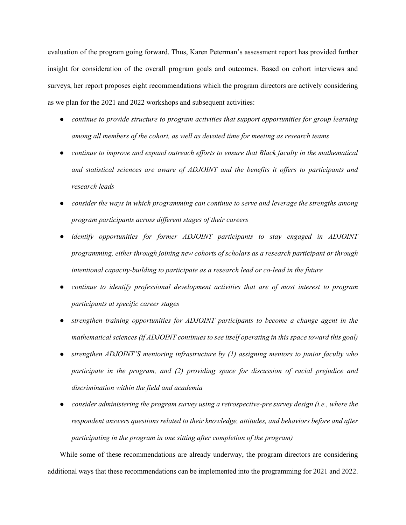evaluation of the program going forward. Thus, Karen Peterman's assessment report has provided further insight for consideration of the overall program goals and outcomes. Based on cohort interviews and surveys, her report proposes eight recommendations which the program directors are actively considering as we plan for the 2021 and 2022 workshops and subsequent activities:

- *continue to provide structure to program activities that support opportunities for group learning among all members of the cohort, as well as devoted time for meeting as research teams*
- *continue to improve and expand outreach efforts to ensure that Black faculty in the mathematical and statistical sciences are aware of ADJOINT and the benefits it offers to participants and research leads*
- *consider the ways in which programming can continue to serve and leverage the strengths among program participants across different stages of their careers*
- *identify opportunities for former ADJOINT participants to stay engaged in ADJOINT programming, either through joining new cohorts of scholars as a research participant or through intentional capacity-building to participate as a research lead or co-lead in the future*
- *continue to identify professional development activities that are of most interest to program participants at specific career stages*
- *strengthen training opportunities for ADJOINT participants to become a change agent in the mathematical sciences (if ADJOINT continues to see itself operating in this space toward this goal)*
- *strengthen ADJOINT'S mentoring infrastructure by (1) assigning mentors to junior faculty who participate in the program, and (2) providing space for discussion of racial prejudice and discrimination within the field and academia*
- *consider administering the program survey using a retrospective-pre survey design (i.e., where the respondent answers questions related to their knowledge, attitudes, and behaviors before and after participating in the program in one sitting after completion of the program)*

While some of these recommendations are already underway, the program directors are considering additional ways that these recommendations can be implemented into the programming for 2021 and 2022.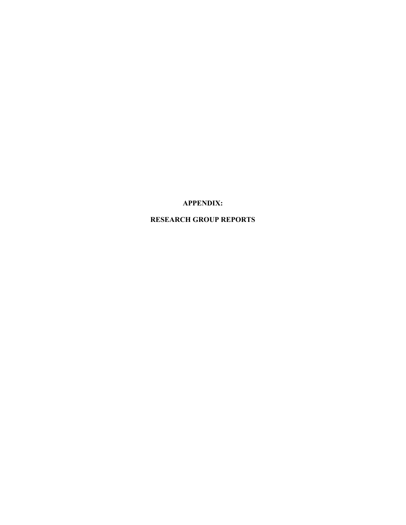**APPENDIX:**

**RESEARCH GROUP REPORTS**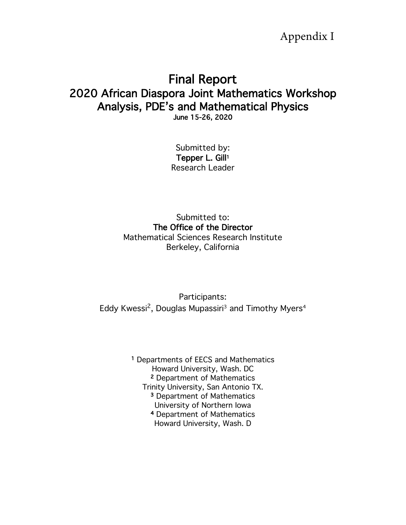Appendix I

# Final Report 2020 African Diaspora Joint Mathematics Workshop Analysis, PDE's and Mathematical Physics June 15-26, 2020

Submitted by: Tepper L. Gill<sup>1</sup> Research Leader

Submitted to: The Office of the Director Mathematical Sciences Research Institute Berkeley, California

Participants: Eddy Kwessi<sup>2</sup>, Douglas Mupassiri<sup>3</sup> and Timothy Myers<sup>4</sup>

> 1 Departments of EECS and Mathematics Howard University, Wash. DC 2 Department of Mathematics Trinity University, San Antonio TX. 3 Department of Mathematics University of Northern Iowa 4 Department of Mathematics Howard University, Wash. D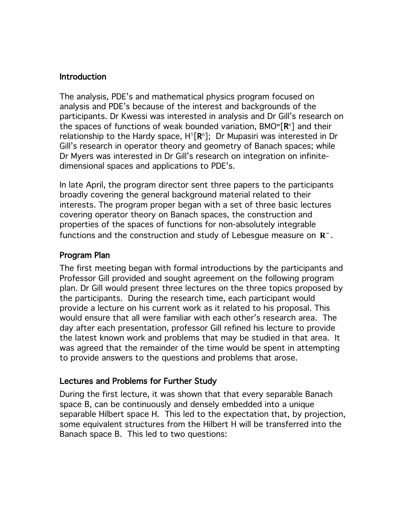## Introduction

The analysis, PDE's and mathematical physics program focused on analysis and PDE's because of the interest and backgrounds of the participants. Dr Kwessi was interested in analysis and Dr Gill's research on the spaces of functions of weak bounded variation,  $BMOW[\mathbb{R}^n]$  and their relationship to the Hardy space,  $H^{1}[R^{n}]$ ; Dr Mupasiri was interested in Dr Gill's research in operator theory and geometry of Banach spaces; while Dr Myers was interested in Dr Gill's research on integration on infinitedimensional spaces and applications to PDE's.

In late April, the program director sent three papers to the participants broadly covering the general background material related to their interests. The program proper began with a set of three basic lectures covering operator theory on Banach spaces, the construction and properties of the spaces of functions for non-absolutely integrable functions and the construction and study of Lebesgue measure on  $\mathbb{R}^{\infty}$ .

# Program Plan

The first meeting began with formal introductions by the participants and Professor Gill provided and sought agreement on the following program plan. Dr Gill would present three lectures on the three topics proposed by the participants. During the research time, each participant would provide a lecture on his current work as it related to his proposal. This would ensure that all were familiar with each other's research area. The day after each presentation, professor Gill refined his lecture to provide the latest known work and problems that may be studied in that area. It was agreed that the remainder of the time would be spent in attempting to provide answers to the questions and problems that arose.

## Lectures and Problems for Further Study

During the first lecture, it was shown that that every separable Banach space B, can be continuously and densely embedded into a unique separable Hilbert space H. This led to the expectation that, by projection, some equivalent structures from the Hilbert H will be transferred into the Banach space B. This led to two questions: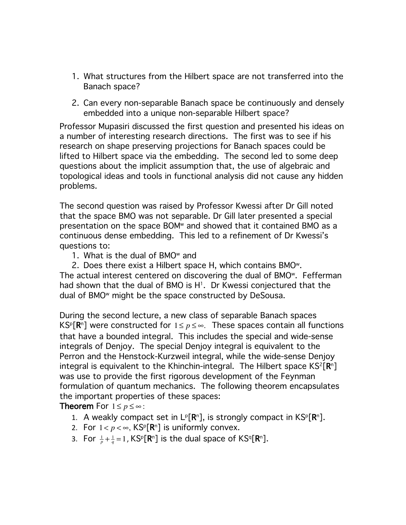- 1. What structures from the Hilbert space are not transferred into the Banach space?
- 2. Can every non-separable Banach space be continuously and densely embedded into a unique non-separable Hilbert space?

Professor Mupasiri discussed the first question and presented his ideas on a number of interesting research directions. The first was to see if his research on shape preserving projections for Banach spaces could be lifted to Hilbert space via the embedding. The second led to some deep questions about the implicit assumption that, the use of algebraic and topological ideas and tools in functional analysis did not cause any hidden problems.

The second question was raised by Professor Kwessi after Dr Gill noted that the space BMO was not separable. Dr Gill later presented a special presentation on the space BOMw and showed that it contained BMO as a continuous dense embedding. This led to a refinement of Dr Kwessi's questions to:

1. What is the dual of  $BMO^w$  and

2. Does there exist a Hilbert space H, which contains BMOw. The actual interest centered on discovering the dual of BMOw. Fefferman had shown that the dual of BMO is  $H<sup>1</sup>$ . Dr Kwessi conjectured that the dual of BMOw might be the space constructed by DeSousa.

During the second lecture, a new class of separable Banach spaces  $\mathsf{KS}^{\mathsf{p}}[\mathsf{R}^{\mathsf{n}}]$  were constructed for  $1 \leq p \leq \infty$ . These spaces contain all functions that have a bounded integral. This includes the special and wide-sense integrals of Denjoy. The special Denjoy integral is equivalent to the Perron and the Henstock-Kurzweil integral, while the wide-sense Denjoy integral is equivalent to the Khinchin-integral. The Hilbert space  $KS^2[\mathbb{R}^n]$ was use to provide the first rigorous development of the Feynman formulation of quantum mechanics. The following theorem encapsulates the important properties of these spaces:

**Theorem** For  $1 \leq p \leq \infty$  :

- 1. A weakly compact set in  $L^p[\mathbf{R}^n]$ , is strongly compact in  $\mathsf{KS}^p[\mathbf{R}^n]$ .
- 2. For  $1 < p < \infty$ , KS<sup>p</sup>[R<sup>n</sup>] is uniformly convex.
- 3. For  $\frac{1}{p} + \frac{1}{q} = 1$ , KS<sup>p</sup>[**R**<sup>n</sup>] is the dual space of KS<sup>q</sup>[**R**<sup>n</sup>].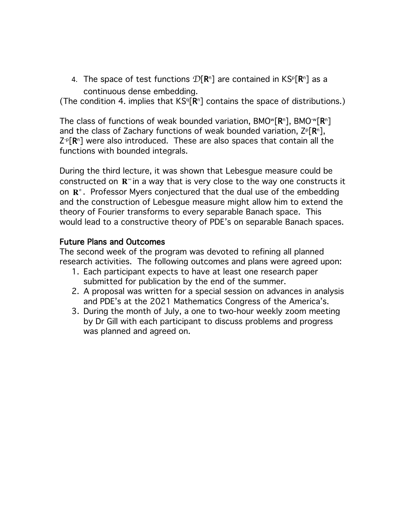4. The space of test functions  $\mathcal{D}[\mathbf{R}^n]$  are contained in KS<sup>p</sup>[ $\mathbf{R}^n$ ] as a continuous dense embedding.

(The condition 4. implies that  $KS^{q}[R^{n}]$  contains the space of distributions.)

The class of functions of weak bounded variation,  $BMO^w[\mathbb{R}^n]$ ,  $BMO^w[\mathbb{R}^n]$ and the class of Zachary functions of weak bounded variation,  $Z^p[\mathbf{R}^n]$ ,  $Z^p[R^n]$  were also introduced. These are also spaces that contain all the functions with bounded integrals.

During the third lecture, it was shown that Lebesgue measure could be constructed on  $\mathbb{R}^\infty$  in a way that is very close to the way one constructs it on **R**<sup>*n*</sup>. Professor Myers conjectured that the dual use of the embedding and the construction of Lebesgue measure might allow him to extend the theory of Fourier transforms to every separable Banach space. This would lead to a constructive theory of PDE's on separable Banach spaces.

# Future Plans and Outcomes

The second week of the program was devoted to refining all planned research activities. The following outcomes and plans were agreed upon:

- 1. Each participant expects to have at least one research paper submitted for publication by the end of the summer.
- 2. A proposal was written for a special session on advances in analysis and PDE's at the 2021 Mathematics Congress of the America's.
- 3. During the month of July, a one to two-hour weekly zoom meeting by Dr Gill with each participant to discuss problems and progress was planned and agreed on.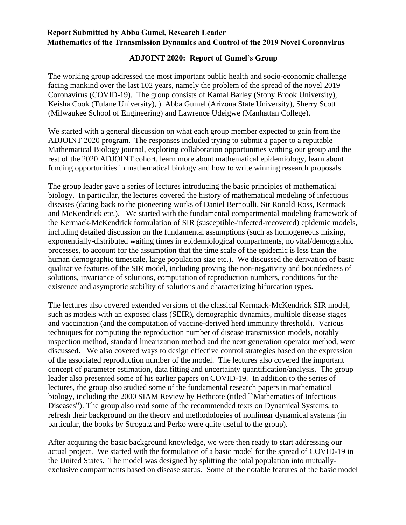## **Report Submitted by Abba Gumel, Research Leader Mathematics of the Transmission Dynamics and Control of the 2019 Novel Coronavirus**

## **ADJOINT 2020: Report of Gumel's Group**

The working group addressed the most important public health and socio-economic challenge facing mankind over the last 102 years, namely the problem of the spread of the novel 2019 Coronavirus (COVID-19). The group consists of Kamal Barley (Stony Brook University), Keisha Cook (Tulane University), ). Abba Gumel (Arizona State University), Sherry Scott (Milwaukee School of Engineering) and Lawrence Udeigwe (Manhattan College).

We started with a general discussion on what each group member expected to gain from the ADJOINT 2020 program. The responses included trying to submit a paper to a reputable Mathematical Biology journal, exploring collaboration opportunities withing our group and the rest of the 2020 ADJOINT cohort, learn more about mathematical epidemiology, learn about funding opportunities in mathematical biology and how to write winning research proposals.

The group leader gave a series of lectures introducing the basic principles of mathematical biology. In particular, the lectures covered the history of mathematical modeling of infectious diseases (dating back to the pioneering works of Daniel Bernoulli, Sir Ronald Ross, Kermack and McKendrick etc.). We started with the fundamental compartmental modeling framework of the Kermack-McKendrick formulation of SIR (susceptible-infected-recovered) epidemic models, including detailed discussion on the fundamental assumptions (such as homogeneous mixing, exponentially-distributed waiting times in epidemiological compartments, no vital/demographic processes, to account for the assumption that the time scale of the epidemic is less than the human demographic timescale, large population size etc.). We discussed the derivation of basic qualitative features of the SIR model, including proving the non-negativity and boundedness of solutions, invariance of solutions, computation of reproduction numbers, conditions for the existence and asymptotic stability of solutions and characterizing bifurcation types.

The lectures also covered extended versions of the classical Kermack-McKendrick SIR model, such as models with an exposed class (SEIR), demographic dynamics, multiple disease stages and vaccination (and the computation of vaccine-derived herd immunity threshold). Various techniques for computing the reproduction number of disease transmission models, notably inspection method, standard linearization method and the next generation operator method, were discussed. We also covered ways to design effective control strategies based on the expression of the associated reproduction number of the model. The lectures also covered the important concept of parameter estimation, data fitting and uncertainty quantification/analysis. The group leader also presented some of his earlier papers on COVID-19. In addition to the series of lectures, the group also studied some of the fundamental research papers in mathematical biology, including the 2000 SIAM Review by Hethcote (titled ``Mathematics of Infectious Diseases"). The group also read some of the recommended texts on Dynamical Systems, to refresh their background on the theory and methodologies of nonlinear dynamical systems (in particular, the books by Strogatz and Perko were quite useful to the group).

After acquiring the basic background knowledge, we were then ready to start addressing our actual project. We started with the formulation of a basic model for the spread of COVID-19 in the United States. The model was designed by splitting the total population into mutuallyexclusive compartments based on disease status. Some of the notable features of the basic model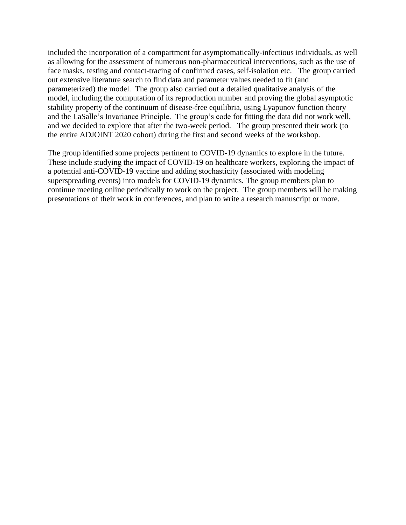included the incorporation of a compartment for asymptomatically-infectious individuals, as well as allowing for the assessment of numerous non-pharmaceutical interventions, such as the use of face masks, testing and contact-tracing of confirmed cases, self-isolation etc. The group carried out extensive literature search to find data and parameter values needed to fit (and parameterized) the model. The group also carried out a detailed qualitative analysis of the model, including the computation of its reproduction number and proving the global asymptotic stability property of the continuum of disease-free equilibria, using Lyapunov function theory and the LaSalle's Invariance Principle. The group's code for fitting the data did not work well, and we decided to explore that after the two-week period. The group presented their work (to the entire ADJOINT 2020 cohort) during the first and second weeks of the workshop.

The group identified some projects pertinent to COVID-19 dynamics to explore in the future. These include studying the impact of COVID-19 on healthcare workers, exploring the impact of a potential anti-COVID-19 vaccine and adding stochasticity (associated with modeling superspreading events) into models for COVID-19 dynamics. The group members plan to continue meeting online periodically to work on the project. The group members will be making presentations of their work in conferences, and plan to write a research manuscript or more.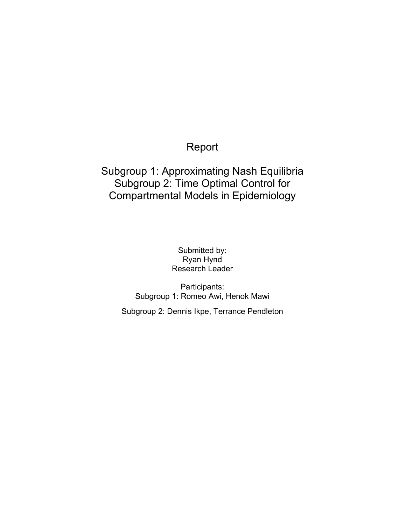# Report

# Subgroup 1: Approximating Nash Equilibria Subgroup 2: Time Optimal Control for Compartmental Models in Epidemiology

Submitted by: Ryan Hynd Research Leader

Participants: Subgroup 1: Romeo Awi, Henok Mawi

Subgroup 2: Dennis Ikpe, Terrance Pendleton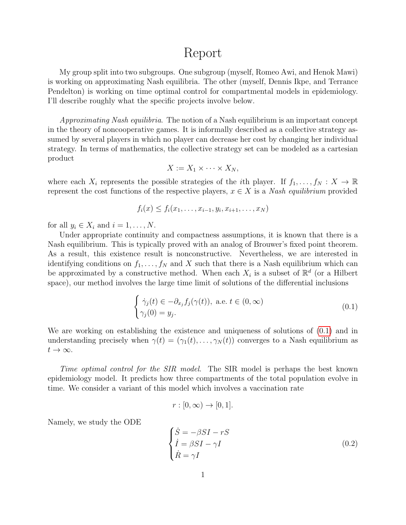# Report

My group split into two subgroups. One subgroup (myself, Romeo Awi, and Henok Mawi) is working on approximating Nash equilibria. The other (myself, Dennis Ikpe, and Terrance Pendelton) is working on time optimal control for compartmental models in epidemiology. I'll describe roughly what the specific projects involve below.

Approximating Nash equilibria. The notion of a Nash equilibrium is an important concept in the theory of noncooperative games. It is informally described as a collective strategy assumed by several players in which no player can decrease her cost by changing her individual strategy. In terms of mathematics, the collective strategy set can be modeled as a cartesian product

$$
X := X_1 \times \cdots \times X_N,
$$

where each  $X_i$  represents the possible strategies of the *i*th player. If  $f_1, \ldots, f_N : X \to \mathbb{R}$ represent the cost functions of the respective players,  $x \in X$  is a *Nash equilibrium* provided

$$
f_i(x) \le f_i(x_1, \ldots, x_{i-1}, y_i, x_{i+1}, \ldots, x_N)
$$

for all  $y_i \in X_i$  and  $i = 1, \ldots, N$ .

Under appropriate continuity and compactness assumptions, it is known that there is a Nash equilibrium. This is typically proved with an analog of Brouwer's fixed point theorem. As a result, this existence result is nonconstructive. Nevertheless, we are interested in identifying conditions on  $f_1, \ldots, f_N$  and X such that there is a Nash equilibrium which can be approximated by a constructive method. When each  $X_i$  is a subset of  $\mathbb{R}^d$  (or a Hilbert space), our method involves the large time limit of solutions of the differential inclusions

$$
\begin{cases} \dot{\gamma}_j(t) \in -\partial_{x_j} f_j(\gamma(t)), \text{ a.e. } t \in (0, \infty) \\ \gamma_j(0) = y_j. \end{cases}
$$
 (0.1)

We are working on establishing the existence and uniqueness of solutions of [\(0.1\)](#page-19-0) and in understanding precisely when  $\gamma(t) = (\gamma_1(t), \ldots, \gamma_N(t))$  converges to a Nash equilibrium as  $t\to\infty$ .

Time optimal control for the SIR model. The SIR model is perhaps the best known epidemiology model. It predicts how three compartments of the total population evolve in time. We consider a variant of this model which involves a vaccination rate

<span id="page-19-1"></span><span id="page-19-0"></span>
$$
r : [0, \infty) \to [0, 1].
$$

Namely, we study the ODE

$$
\begin{cases}\n\dot{S} = -\beta SI - rS \\
\dot{I} = \beta SI - \gamma I \\
\dot{R} = \gamma I\n\end{cases}
$$
\n(0.2)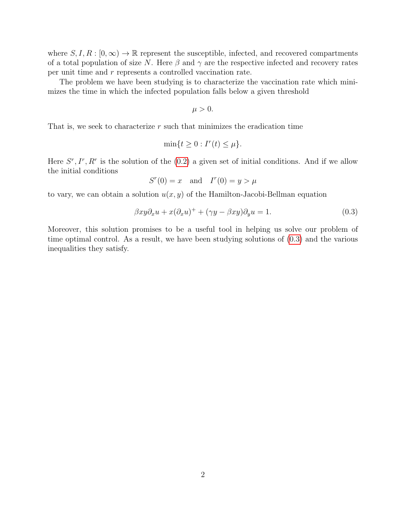where  $S, I, R : [0, \infty) \to \mathbb{R}$  represent the susceptible, infected, and recovered compartments of a total population of size N. Here  $\beta$  and  $\gamma$  are the respective infected and recovery rates per unit time and r represents a controlled vaccination rate.

The problem we have been studying is to characterize the vaccination rate which minimizes the time in which the infected population falls below a given threshold

<span id="page-20-0"></span> $\mu > 0$ .

That is, we seek to characterize  $r$  such that minimizes the eradication time

$$
\min\{t \ge 0 : I^r(t) \le \mu\}.
$$

Here  $S^r, I^r, R^r$  is the solution of the  $(0.2)$  a given set of initial conditions. And if we allow the initial conditions

$$
S^{r}(0) = x \quad \text{and} \quad I^{r}(0) = y > \mu
$$

to vary, we can obtain a solution  $u(x, y)$  of the Hamilton-Jacobi-Bellman equation

$$
\beta xy \partial_x u + x(\partial_x u)^+ + (\gamma y - \beta xy)\partial_y u = 1.
$$
\n(0.3)

Moreover, this solution promises to be a useful tool in helping us solve our problem of time optimal control. As a result, we have been studying solutions of [\(0.3\)](#page-20-0) and the various inequalities they satisfy.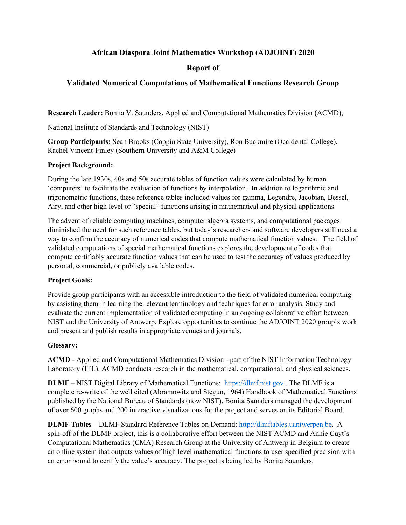## **African Diaspora Joint Mathematics Workshop (ADJOINT) 2020**

## **Report of**

## **Validated Numerical Computations of Mathematical Functions Research Group**

**Research Leader:** Bonita V. Saunders, Applied and Computational Mathematics Division (ACMD),

National Institute of Standards and Technology (NIST)

**Group Participants:** Sean Brooks (Coppin State University), Ron Buckmire (Occidental College), Rachel Vincent-Finley (Southern University and A&M College)

### **Project Background:**

During the late 1930s, 40s and 50s accurate tables of function values were calculated by human 'computers' to facilitate the evaluation of functions by interpolation. In addition to logarithmic and trigonometric functions, these reference tables included values for gamma, Legendre, Jacobian, Bessel, Airy, and other high level or "special" functions arising in mathematical and physical applications.

The advent of reliable computing machines, computer algebra systems, and computational packages diminished the need for such reference tables, but today's researchers and software developers still need a way to confirm the accuracy of numerical codes that compute mathematical function values. The field of validated computations of special mathematical functions explores the development of codes that compute certifiably accurate function values that can be used to test the accuracy of values produced by personal, commercial, or publicly available codes.

## **Project Goals:**

Provide group participants with an accessible introduction to the field of validated numerical computing by assisting them in learning the relevant terminology and techniques for error analysis. Study and evaluate the current implementation of validated computing in an ongoing collaborative effort between NIST and the University of Antwerp. Explore opportunities to continue the ADJOINT 2020 group's work and present and publish results in appropriate venues and journals.

#### **Glossary:**

**ACMD -** Applied and Computational Mathematics Division - part of the NIST Information Technology Laboratory (ITL). ACMD conducts research in the mathematical, computational, and physical sciences.

**DLMF** – NIST Digital Library of Mathematical Functions: [https://dlmf.nist.gov](https://dlmf.nist.gov/). The DLMF is a complete re-write of the well cited (Abramowitz and Stegun, 1964) Handbook of Mathematical Functions published by the National Bureau of Standards (now NIST). Bonita Saunders managed the development of over 600 graphs and 200 interactive visualizations for the project and serves on its Editorial Board.

**DLMF Tables** – DLMF Standard Reference Tables on Demand: [http://dlmftables.uantwerpen.be.](http://dlmftables.uantwerpen.be/) A spin-off of the DLMF project, this is a collaborative effort between the NIST ACMD and Annie Cuyt's Computational Mathematics (CMA) Research Group at the University of Antwerp in Belgium to create an online system that outputs values of high level mathematical functions to user specified precision with an error bound to certify the value's accuracy. The project is being led by Bonita Saunders.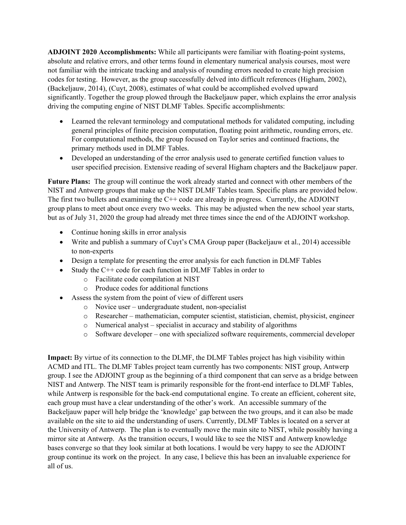**ADJOINT 2020 Accomplishments:** While all participants were familiar with floating-point systems, absolute and relative errors, and other terms found in elementary numerical analysis courses, most were not familiar with the intricate tracking and analysis of rounding errors needed to create high precision codes for testing. However, as the group successfully delved into difficult references (Higham, 2002), (Backeljauw, 2014), (Cuyt, 2008), estimates of what could be accomplished evolved upward significantly. Together the group plowed through the Backeljauw paper, which explains the error analysis driving the computing engine of NIST DLMF Tables. Specific accomplishments:

- Learned the relevant terminology and computational methods for validated computing, including general principles of finite precision computation, floating point arithmetic, rounding errors, etc. For computational methods, the group focused on Taylor series and continued fractions, the primary methods used in DLMF Tables.
- Developed an understanding of the error analysis used to generate certified function values to user specified precision. Extensive reading of several Higham chapters and the Backeljauw paper.

**Future Plans:** The group will continue the work already started and connect with other members of the NIST and Antwerp groups that make up the NIST DLMF Tables team. Specific plans are provided below. The first two bullets and examining the C++ code are already in progress. Currently, the ADJOINT group plans to meet about once every two weeks. This may be adjusted when the new school year starts, but as of July 31, 2020 the group had already met three times since the end of the ADJOINT workshop.

- Continue honing skills in error analysis
- Write and publish a summary of Cuyt's CMA Group paper (Backeljauw et al., 2014) accessible to non-experts
- Design a template for presenting the error analysis for each function in DLMF Tables
- Study the C++ code for each function in DLMF Tables in order to
	- o Facilitate code compilation at NIST
	- o Produce codes for additional functions
- Assess the system from the point of view of different users
	- o Novice user undergraduate student, non-specialist
	- o Researcher mathematician, computer scientist, statistician, chemist, physicist, engineer
	- o Numerical analyst specialist in accuracy and stability of algorithms
	- o Software developer one with specialized software requirements, commercial developer

**Impact:** By virtue of its connection to the DLMF, the DLMF Tables project has high visibility within ACMD and ITL. The DLMF Tables project team currently has two components: NIST group, Antwerp group. I see the ADJOINT group as the beginning of a third component that can serve as a bridge between NIST and Antwerp. The NIST team is primarily responsible for the front-end interface to DLMF Tables, while Antwerp is responsible for the back-end computational engine. To create an efficient, coherent site, each group must have a clear understanding of the other's work. An accessible summary of the Backeljauw paper will help bridge the 'knowledge' gap between the two groups, and it can also be made available on the site to aid the understanding of users. Currently, DLMF Tables is located on a server at the University of Antwerp. The plan is to eventually move the main site to NIST, while possibly having a mirror site at Antwerp. As the transition occurs, I would like to see the NIST and Antwerp knowledge bases converge so that they look similar at both locations. I would be very happy to see the ADJOINT group continue its work on the project. In any case, I believe this has been an invaluable experience for all of us.